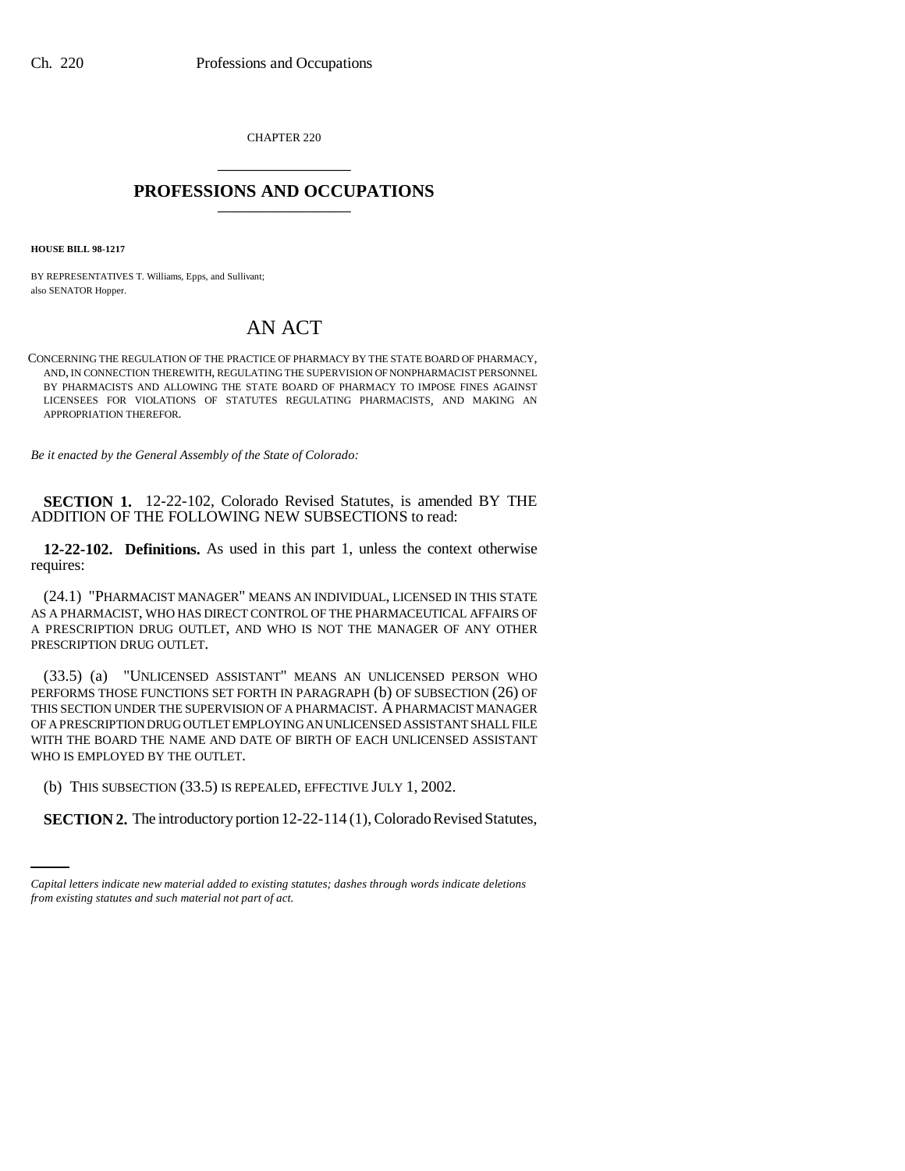CHAPTER 220 \_\_\_\_\_\_\_\_\_\_\_\_\_\_\_

## **PROFESSIONS AND OCCUPATIONS** \_\_\_\_\_\_\_\_\_\_\_\_\_\_\_

**HOUSE BILL 98-1217**

BY REPRESENTATIVES T. Williams, Epps, and Sullivant; also SENATOR Hopper.

## AN ACT

CONCERNING THE REGULATION OF THE PRACTICE OF PHARMACY BY THE STATE BOARD OF PHARMACY, AND, IN CONNECTION THEREWITH, REGULATING THE SUPERVISION OF NONPHARMACIST PERSONNEL BY PHARMACISTS AND ALLOWING THE STATE BOARD OF PHARMACY TO IMPOSE FINES AGAINST LICENSEES FOR VIOLATIONS OF STATUTES REGULATING PHARMACISTS, AND MAKING AN APPROPRIATION THEREFOR.

*Be it enacted by the General Assembly of the State of Colorado:*

**SECTION 1.** 12-22-102, Colorado Revised Statutes, is amended BY THE ADDITION OF THE FOLLOWING NEW SUBSECTIONS to read:

**12-22-102. Definitions.** As used in this part 1, unless the context otherwise requires:

(24.1) "PHARMACIST MANAGER" MEANS AN INDIVIDUAL, LICENSED IN THIS STATE AS A PHARMACIST, WHO HAS DIRECT CONTROL OF THE PHARMACEUTICAL AFFAIRS OF A PRESCRIPTION DRUG OUTLET, AND WHO IS NOT THE MANAGER OF ANY OTHER PRESCRIPTION DRUG OUTLET.

(33.5) (a) "UNLICENSED ASSISTANT" MEANS AN UNLICENSED PERSON WHO PERFORMS THOSE FUNCTIONS SET FORTH IN PARAGRAPH (b) OF SUBSECTION (26) OF THIS SECTION UNDER THE SUPERVISION OF A PHARMACIST. A PHARMACIST MANAGER OF A PRESCRIPTION DRUG OUTLET EMPLOYING AN UNLICENSED ASSISTANT SHALL FILE WITH THE BOARD THE NAME AND DATE OF BIRTH OF EACH UNLICENSED ASSISTANT WHO IS EMPLOYED BY THE OUTLET.

(b) THIS SUBSECTION (33.5) IS REPEALED, EFFECTIVE JULY 1, 2002.

**SECTION 2.** The introductory portion 12-22-114 (1), Colorado Revised Statutes,

*Capital letters indicate new material added to existing statutes; dashes through words indicate deletions from existing statutes and such material not part of act.*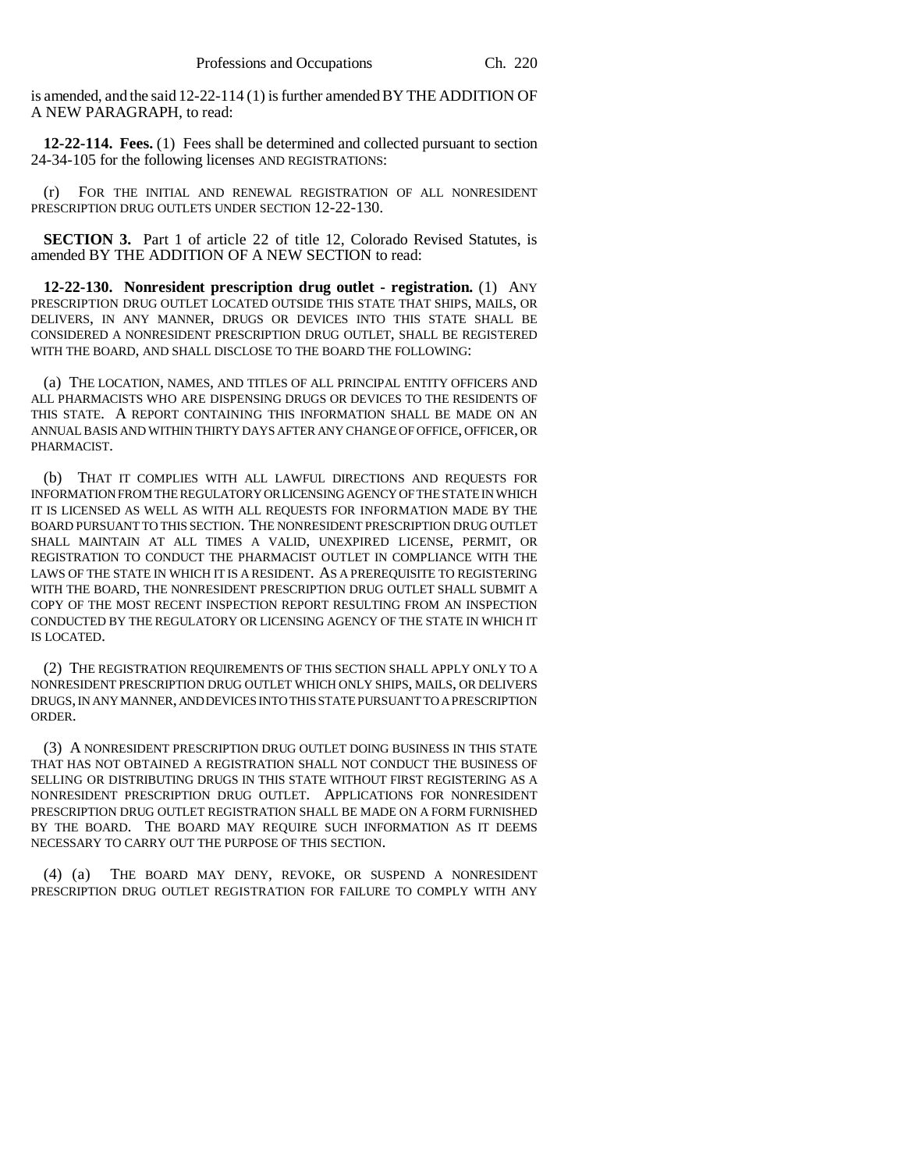is amended, and the said 12-22-114 (1) is further amended BY THE ADDITION OF A NEW PARAGRAPH, to read:

**12-22-114. Fees.** (1) Fees shall be determined and collected pursuant to section 24-34-105 for the following licenses AND REGISTRATIONS:

(r) FOR THE INITIAL AND RENEWAL REGISTRATION OF ALL NONRESIDENT PRESCRIPTION DRUG OUTLETS UNDER SECTION 12-22-130.

**SECTION 3.** Part 1 of article 22 of title 12, Colorado Revised Statutes, is amended BY THE ADDITION OF A NEW SECTION to read:

**12-22-130. Nonresident prescription drug outlet - registration.** (1) ANY PRESCRIPTION DRUG OUTLET LOCATED OUTSIDE THIS STATE THAT SHIPS, MAILS, OR DELIVERS, IN ANY MANNER, DRUGS OR DEVICES INTO THIS STATE SHALL BE CONSIDERED A NONRESIDENT PRESCRIPTION DRUG OUTLET, SHALL BE REGISTERED WITH THE BOARD, AND SHALL DISCLOSE TO THE BOARD THE FOLLOWING:

(a) THE LOCATION, NAMES, AND TITLES OF ALL PRINCIPAL ENTITY OFFICERS AND ALL PHARMACISTS WHO ARE DISPENSING DRUGS OR DEVICES TO THE RESIDENTS OF THIS STATE. A REPORT CONTAINING THIS INFORMATION SHALL BE MADE ON AN ANNUAL BASIS AND WITHIN THIRTY DAYS AFTER ANY CHANGE OF OFFICE, OFFICER, OR PHARMACIST.

(b) THAT IT COMPLIES WITH ALL LAWFUL DIRECTIONS AND REQUESTS FOR INFORMATION FROM THE REGULATORY OR LICENSING AGENCY OF THE STATE IN WHICH IT IS LICENSED AS WELL AS WITH ALL REQUESTS FOR INFORMATION MADE BY THE BOARD PURSUANT TO THIS SECTION. THE NONRESIDENT PRESCRIPTION DRUG OUTLET SHALL MAINTAIN AT ALL TIMES A VALID, UNEXPIRED LICENSE, PERMIT, OR REGISTRATION TO CONDUCT THE PHARMACIST OUTLET IN COMPLIANCE WITH THE LAWS OF THE STATE IN WHICH IT IS A RESIDENT. AS A PREREQUISITE TO REGISTERING WITH THE BOARD, THE NONRESIDENT PRESCRIPTION DRUG OUTLET SHALL SUBMIT A COPY OF THE MOST RECENT INSPECTION REPORT RESULTING FROM AN INSPECTION CONDUCTED BY THE REGULATORY OR LICENSING AGENCY OF THE STATE IN WHICH IT IS LOCATED.

(2) THE REGISTRATION REQUIREMENTS OF THIS SECTION SHALL APPLY ONLY TO A NONRESIDENT PRESCRIPTION DRUG OUTLET WHICH ONLY SHIPS, MAILS, OR DELIVERS DRUGS, IN ANY MANNER, AND DEVICES INTO THIS STATE PURSUANT TO A PRESCRIPTION ORDER.

(3) A NONRESIDENT PRESCRIPTION DRUG OUTLET DOING BUSINESS IN THIS STATE THAT HAS NOT OBTAINED A REGISTRATION SHALL NOT CONDUCT THE BUSINESS OF SELLING OR DISTRIBUTING DRUGS IN THIS STATE WITHOUT FIRST REGISTERING AS A NONRESIDENT PRESCRIPTION DRUG OUTLET. APPLICATIONS FOR NONRESIDENT PRESCRIPTION DRUG OUTLET REGISTRATION SHALL BE MADE ON A FORM FURNISHED BY THE BOARD. THE BOARD MAY REQUIRE SUCH INFORMATION AS IT DEEMS NECESSARY TO CARRY OUT THE PURPOSE OF THIS SECTION.

(4) (a) THE BOARD MAY DENY, REVOKE, OR SUSPEND A NONRESIDENT PRESCRIPTION DRUG OUTLET REGISTRATION FOR FAILURE TO COMPLY WITH ANY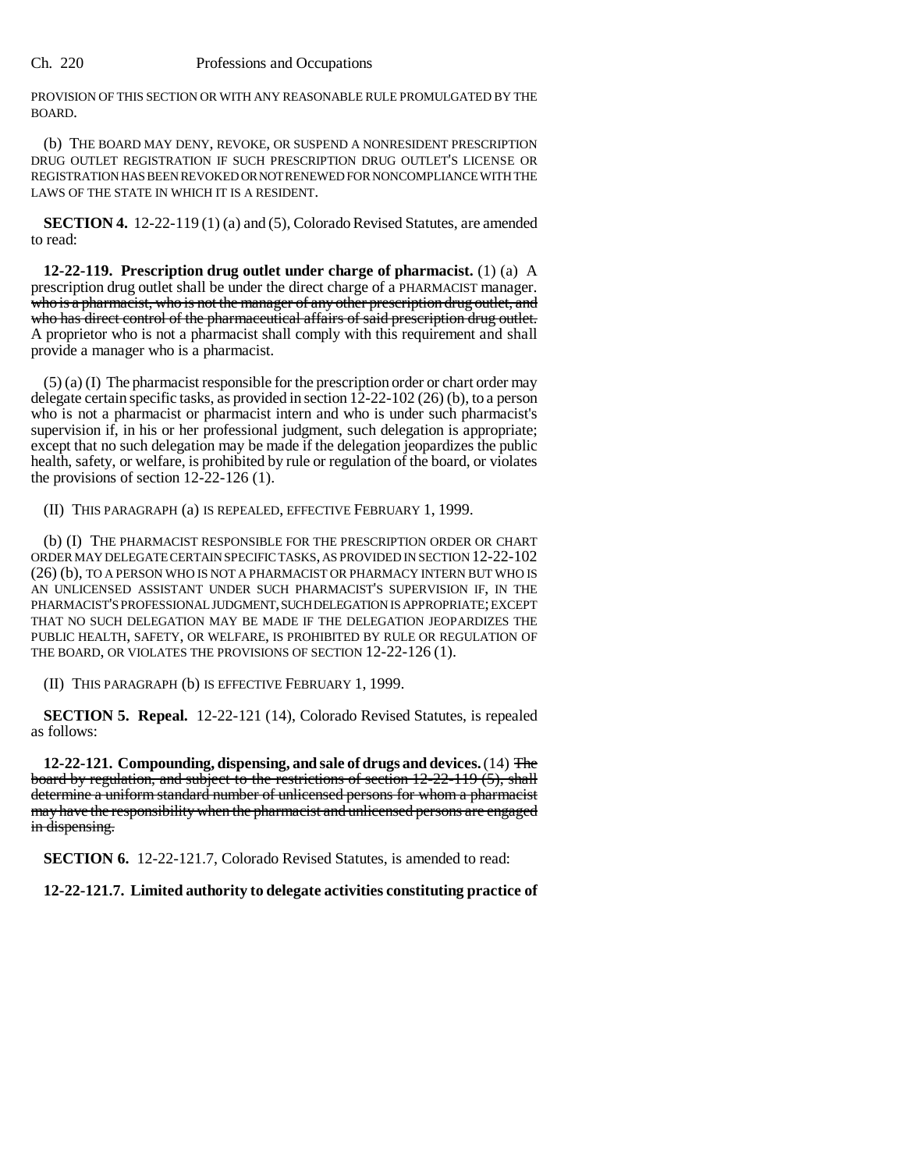PROVISION OF THIS SECTION OR WITH ANY REASONABLE RULE PROMULGATED BY THE BOARD.

(b) THE BOARD MAY DENY, REVOKE, OR SUSPEND A NONRESIDENT PRESCRIPTION DRUG OUTLET REGISTRATION IF SUCH PRESCRIPTION DRUG OUTLET'S LICENSE OR REGISTRATION HAS BEEN REVOKED OR NOT RENEWED FOR NONCOMPLIANCE WITH THE LAWS OF THE STATE IN WHICH IT IS A RESIDENT.

**SECTION 4.** 12-22-119 (1) (a) and (5), Colorado Revised Statutes, are amended to read:

**12-22-119. Prescription drug outlet under charge of pharmacist.** (1) (a) A prescription drug outlet shall be under the direct charge of a PHARMACIST manager. who is a pharmacist, who is not the manager of any other prescription drug outlet, and who has direct control of the pharmaceutical affairs of said prescription drug outlet. A proprietor who is not a pharmacist shall comply with this requirement and shall provide a manager who is a pharmacist.

 $(5)$  (a) (I) The pharmacist responsible for the prescription order or chart order may delegate certain specific tasks, as provided in section 12-22-102 (26) (b), to a person who is not a pharmacist or pharmacist intern and who is under such pharmacist's supervision if, in his or her professional judgment, such delegation is appropriate; except that no such delegation may be made if the delegation jeopardizes the public health, safety, or welfare, is prohibited by rule or regulation of the board, or violates the provisions of section  $12-22-126$  (1).

(II) THIS PARAGRAPH (a) IS REPEALED, EFFECTIVE FEBRUARY 1, 1999.

(b) (I) THE PHARMACIST RESPONSIBLE FOR THE PRESCRIPTION ORDER OR CHART ORDER MAY DELEGATE CERTAIN SPECIFIC TASKS, AS PROVIDED IN SECTION 12-22-102 (26) (b), TO A PERSON WHO IS NOT A PHARMACIST OR PHARMACY INTERN BUT WHO IS AN UNLICENSED ASSISTANT UNDER SUCH PHARMACIST'S SUPERVISION IF, IN THE PHARMACIST'S PROFESSIONAL JUDGMENT, SUCH DELEGATION IS APPROPRIATE; EXCEPT THAT NO SUCH DELEGATION MAY BE MADE IF THE DELEGATION JEOPARDIZES THE PUBLIC HEALTH, SAFETY, OR WELFARE, IS PROHIBITED BY RULE OR REGULATION OF THE BOARD, OR VIOLATES THE PROVISIONS OF SECTION 12-22-126 (1).

(II) THIS PARAGRAPH (b) IS EFFECTIVE FEBRUARY 1, 1999.

**SECTION 5. Repeal.** 12-22-121 (14), Colorado Revised Statutes, is repealed as follows:

**12-22-121. Compounding, dispensing, and sale of drugs and devices.** (14) The board by regulation, and subject to the restrictions of section 12-22-119 (5), shall determine a uniform standard number of unlicensed persons for whom a pharmacist may have the responsibility when the pharmacist and unlicensed persons are engaged in dispensing.

**SECTION 6.** 12-22-121.7, Colorado Revised Statutes, is amended to read:

**12-22-121.7. Limited authority to delegate activities constituting practice of**